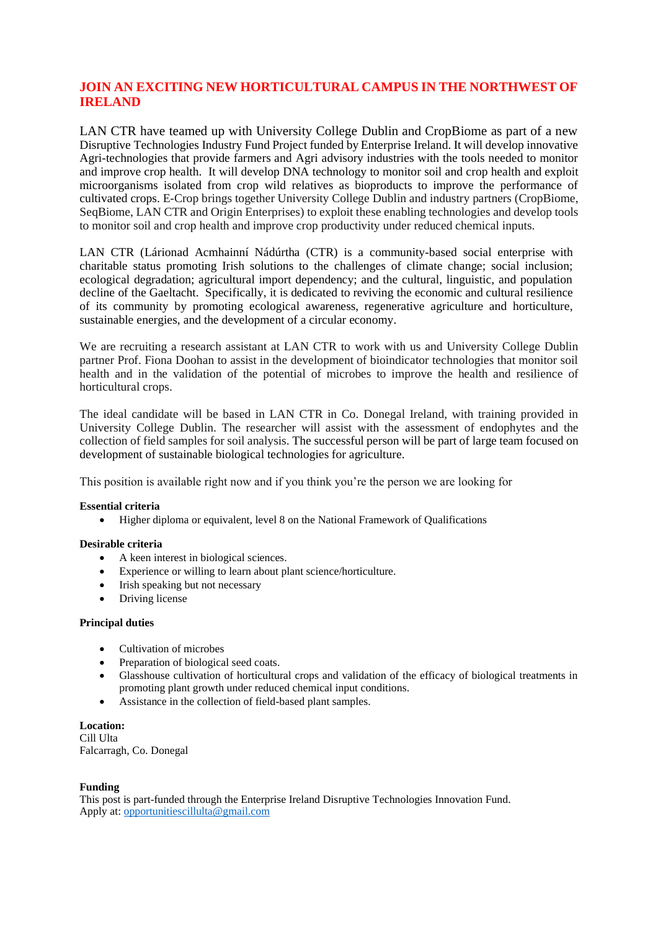## **JOIN AN EXCITING NEW HORTICULTURAL CAMPUS IN THE NORTHWEST OF IRELAND**

LAN CTR have teamed up with University College Dublin and CropBiome as part of a new Disruptive Technologies Industry Fund Project funded by Enterprise Ireland. It will develop innovative Agri-technologies that provide farmers and Agri advisory industries with the tools needed to monitor and improve crop health. It will develop DNA technology to monitor soil and crop health and exploit microorganisms isolated from crop wild relatives as bioproducts to improve the performance of cultivated crops. E-Crop brings together University College Dublin and industry partners (CropBiome, SeqBiome, LAN CTR and Origin Enterprises) to exploit these enabling technologies and develop tools to monitor soil and crop health and improve crop productivity under reduced chemical inputs.

LAN CTR (Lárionad Acmhainní Nádúrtha (CTR) is a community-based social enterprise with charitable status promoting Irish solutions to the challenges of climate change; social inclusion; ecological degradation; agricultural import dependency; and the cultural, linguistic, and population decline of the Gaeltacht. Specifically, it is dedicated to reviving the economic and cultural resilience of its community by promoting ecological awareness, regenerative agriculture and horticulture, sustainable energies, and the development of a circular economy.

We are recruiting a research assistant at LAN CTR to work with us and University College Dublin partner Prof. Fiona Doohan to assist in the development of bioindicator technologies that monitor soil health and in the validation of the potential of microbes to improve the health and resilience of horticultural crops.

The ideal candidate will be based in LAN CTR in Co. Donegal Ireland, with training provided in University College Dublin. The researcher will assist with the assessment of endophytes and the collection of field samples for soil analysis. The successful person will be part of large team focused on development of sustainable biological technologies for agriculture.

This position is available right now and if you think you're the person we are looking for

### **Essential criteria**

• Higher diploma or equivalent, level 8 on the National Framework of Qualifications

### **Desirable criteria**

- A keen interest in biological sciences.
- Experience or willing to learn about plant science/horticulture.
- Irish speaking but not necessary
- Driving license

### **Principal duties**

- Cultivation of microbes<br>• Preparation of hiologica
- Preparation of biological seed coats.
- Glasshouse cultivation of horticultural crops and validation of the efficacy of biological treatments in promoting plant growth under reduced chemical input conditions.
- Assistance in the collection of field-based plant samples.

**Location:** Cill Ulta Falcarragh, Co. Donegal

### **Funding**

This post is part-funded through the Enterprise Ireland Disruptive Technologies Innovation Fund. Apply at: [opportunitiescillulta@gmail.com](mailto:opportunitiescillulta@gmail.com)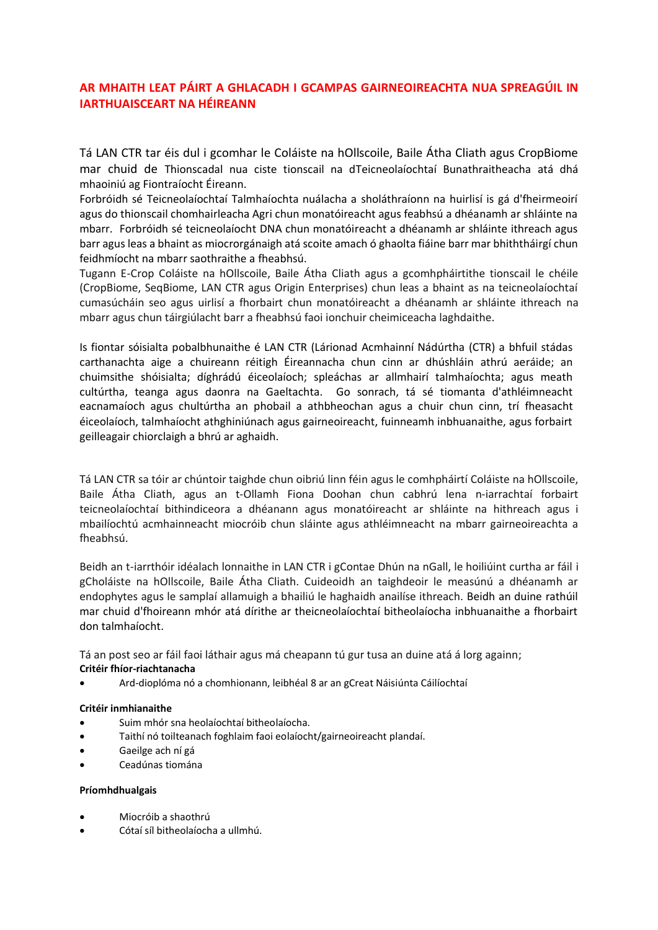# **AR MHAITH LEAT PÁIRT A GHLACADH I GCAMPAS GAIRNEOIREACHTA NUA SPREAGÚIL IN IARTHUAISCEART NA HÉIREANN**

Tá LAN CTR tar éis dul i gcomhar le Coláiste na hOllscoile, Baile Átha Cliath agus CropBiome mar chuid de Thionscadal nua ciste tionscail na dTeicneolaíochtaí Bunathraitheacha atá dhá mhaoiniú ag Fiontraíocht Éireann.

Forbróidh sé Teicneolaíochtaí Talmhaíochta nuálacha a sholáthraíonn na huirlisí is gá d'fheirmeoirí agus do thionscail chomhairleacha Agri chun monatóireacht agus feabhsú a dhéanamh ar shláinte na mbarr. Forbróidh sé teicneolaíocht DNA chun monatóireacht a dhéanamh ar shláinte ithreach agus barr agus leas a bhaint as miocrorgánaigh atá scoite amach ó ghaolta fiáine barr mar bhiththáirgí chun feidhmíocht na mbarr saothraithe a fheabhsú.

Tugann E-Crop Coláiste na hOllscoile, Baile Átha Cliath agus a gcomhpháirtithe tionscail le chéile (CropBiome, SeqBiome, LAN CTR agus Origin Enterprises) chun leas a bhaint as na teicneolaíochtaí cumasúcháin seo agus uirlisí a fhorbairt chun monatóireacht a dhéanamh ar shláinte ithreach na mbarr agus chun táirgiúlacht barr a fheabhsú faoi ionchuir cheimiceacha laghdaithe.

Is fiontar sóisialta pobalbhunaithe é LAN CTR (Lárionad Acmhainní Nádúrtha (CTR) a bhfuil stádas carthanachta aige a chuireann réitigh Éireannacha chun cinn ar dhúshláin athrú aeráide; an chuimsithe shóisialta; díghrádú éiceolaíoch; spleáchas ar allmhairí talmhaíochta; agus meath cultúrtha, teanga agus daonra na Gaeltachta. Go sonrach, tá sé tiomanta d'athléimneacht eacnamaíoch agus chultúrtha an phobail a athbheochan agus a chuir chun cinn, trí fheasacht éiceolaíoch, talmhaíocht athghiniúnach agus gairneoireacht, fuinneamh inbhuanaithe, agus forbairt geilleagair chiorclaigh a bhrú ar aghaidh.

Tá LAN CTR sa tóir ar chúntoir taighde chun oibriú linn féin agus le comhpháirtí Coláiste na hOllscoile, Baile Átha Cliath, agus an t-Ollamh Fiona Doohan chun cabhrú lena n-iarrachtaí forbairt teicneolaíochtaí bithindiceora a dhéanann agus monatóireacht ar shláinte na hithreach agus i mbailíochtú acmhainneacht miocróib chun sláinte agus athléimneacht na mbarr gairneoireachta a fheabhsú.

Beidh an t-iarrthóir idéalach lonnaithe in LAN CTR i gContae Dhún na nGall, le hoiliúint curtha ar fáil i gCholáiste na hOllscoile, Baile Átha Cliath. Cuideoidh an taighdeoir le measúnú a dhéanamh ar endophytes agus le samplaí allamuigh a bhailiú le haghaidh anailíse ithreach. Beidh an duine rathúil mar chuid d'fhoireann mhór atá dírithe ar theicneolaíochtaí bitheolaíocha inbhuanaithe a fhorbairt don talmhaíocht.

Tá an post seo ar fáil faoi láthair agus má cheapann tú gur tusa an duine atá á lorg againn; **Critéir fhíor-riachtanacha**

• Ard-dioplóma nó a chomhionann, leibhéal 8 ar an gCreat Náisiúnta Cáilíochtaí

## **Critéir inmhianaithe**

- Suim mhór sna heolaíochtaí bitheolaíocha.
- Taithí nó toilteanach foghlaim faoi eolaíocht/gairneoireacht plandaí.
- Gaeilge ach ní gá
- Ceadúnas tiomána

## **Príomhdhualgais**

- Miocróib a shaothrú
- Cótaí síl bitheolaíocha a ullmhú.